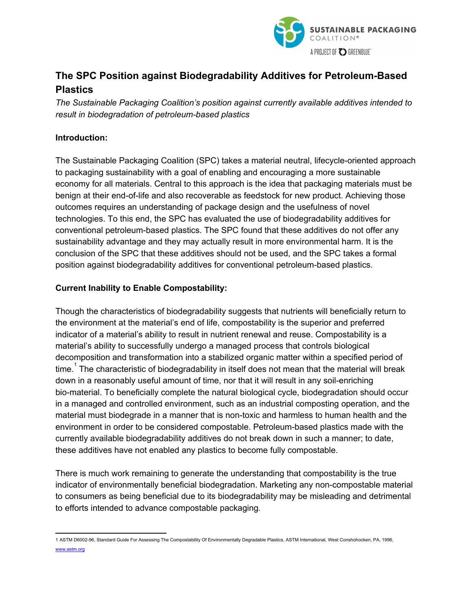

# **The SPC Position against Biodegradability Additives for Petroleum-Based Plastics**

*The Sustainable Packaging Coalition's position against currently available additives intended to result in biodegradation of petroleumbased plastics*

## **Introduction:**

The Sustainable Packaging Coalition (SPC) takes a material neutral, lifecycle-oriented approach to packaging sustainability with a goal of enabling and encouraging a more sustainable economy for all materials. Central to this approach is the idea that packaging materials must be benign at their end-of-life and also recoverable as feedstock for new product. Achieving those outcomes requires an understanding of package design and the usefulness of novel technologies. To this end, the SPC has evaluated the use of biodegradability additives for conventional petroleum-based plastics. The SPC found that these additives do not offer any sustainability advantage and they may actually result in more environmental harm. It is the conclusion of the SPC that these additives should not be used, and the SPC takes a formal position against biodegradability additives for conventional petroleum-based plastics.

## **Current Inability to Enable Compostability:**

Though the characteristics of biodegradability suggests that nutrients will beneficially return to the environment at the material's end of life, compostability is the superior and preferred indicator of a material's ability to result in nutrient renewal and reuse. Compostability is a material's ability to successfully undergo a managed process that controls biological decomposition and transformation into a stabilized organic matter within a specified period of time.<sup>1</sup> The characteristic of biodegradability in itself does not mean that the material will break down in a reasonably useful amount of time, nor that it will result in any soilenriching biomaterial. To beneficially complete the natural biological cycle, biodegradation should occur in a managed and controlled environment, such as an industrial composting operation, and the material must biodegrade in a manner that is non-toxic and harmless to human health and the environment in order to be considered compostable. Petroleum-based plastics made with the currently available biodegradability additives do not break down in such a manner; to date, these additives have not enabled any plastics to become fully compostable.

There is much work remaining to generate the understanding that compostability is the true indicator of environmentally beneficial biodegradation. Marketing any non-compostable material to consumers as being beneficial due to its biodegradability may be misleading and detrimental to efforts intended to advance compostable packaging.

<sup>1</sup> ASTM D600296, Standard Guide For Assessing The Compostability Of Environmentally Degradable Plastics, ASTM International, West Conshohocken, PA, 1996, [www.astm.org](http://www.astm.org/)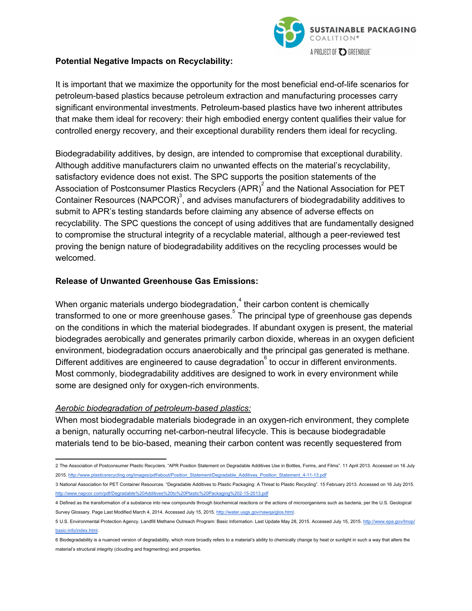

#### **Potential Negative Impacts on Recyclability:**

It is important that we maximize the opportunity for the most beneficial end-of-life scenarios for petroleum-based plastics because petroleum extraction and manufacturing processes carry significant environmental investments. Petroleum-based plastics have two inherent attributes that make them ideal for recovery: their high embodied energy content qualifies their value for controlled energy recovery, and their exceptional durability renders them ideal for recycling.

Biodegradability additives, by design, are intended to compromise that exceptional durability. Although additive manufacturers claim no unwanted effects on the material's recyclability, satisfactory evidence does not exist. The SPC supports the position statements of the Association of Postconsumer Plastics Recyclers (APR) $^{2}$  and the National Association for PET Container Resources (NAPCOR)<sup>3</sup>, and advises manufacturers of biodegradability additives to submit to APR's testing standards before claiming any absence of adverse effects on recyclability. The SPC questions the concept of using additives that are fundamentally designed to compromise the structural integrity of a recyclable material, although a peer-reviewed test proving the benign nature of biodegradability additives on the recycling processes would be welcomed.

#### **Release of Unwanted Greenhouse Gas Emissions:**

When organic materials undergo biodegradation, $^{4}$  their carbon content is chemically transformed to one or more greenhouse gases.<sup>5</sup> The principal type of greenhouse gas depends on the conditions in which the material biodegrades. If abundant oxygen is present, the material biodegrades aerobically and generates primarily carbon dioxide, whereas in an oxygen deficient environment, biodegradation occurs anaerobically and the principal gas generated is methane. Different additives are engineered to cause degradation  $\overset{\circ}{\,}$  to occur in different environments. Most commonly, biodegradability additives are designed to work in every environment while some are designed only for oxygen-rich environments.

#### *Aerobic biodegradation of petroleumbased plastics:*

When most biodegradable materials biodegrade in an oxygen-rich environment, they complete a benign, naturally occurring net-carbon-neutral lifecycle. This is because biodegradable materials tend to be bio-based, meaning their carbon content was recently sequestered from

<sup>2</sup> The Association of Postconsumer Plastic Recyclers. "APR Position Statement on Degradable Additives Use in Bottles, Forms, and Films". 11 April 2013. Accessed on 16 July 2015. http://www.plasticsrecycling.org/images/pdf/about/Position\_Statement/Degradable\_Additives\_Position\_Statement\_4-11-13.pdf

<sup>3</sup> National Association for PET Container Resources. "Degradable Additives to Plastic Packaging: A Threat to Plastic Recycling". 15 February 2013. Accessed on 16 July 2015. http://www.napcor.com/pdf/Degradable%20Additives%20to%20Plastic%20Packaging%202-15-2013.pdf

<sup>4</sup> Defined as the transformation of a substance into new compounds through biochemical reactions or the actions of microorganisms such as bacteria, per the U.S. Geological Survey Glossary. Page Last Modified March 4, 2014. Accessed July 15, 2015. [http://water.usgs.gov/nawqa/glos.html.](http://water.usgs.gov/nawqa/glos.html)

<sup>5</sup> U.S. Environmental Protection Agency. Landfill Methane Outreach Program: Basic Information. Last Update May 28, 2015. Accessed July 15, 2015. <http://www.epa.gov/lmop/> basic-info/index.html.

<sup>6</sup> Biodegradability is a nuanced version of degradability, which more broadly refers to a material's ability to chemically change by heat or sunlight in such a way that alters the material's structural integrity (clouding and fragmenting) and properties.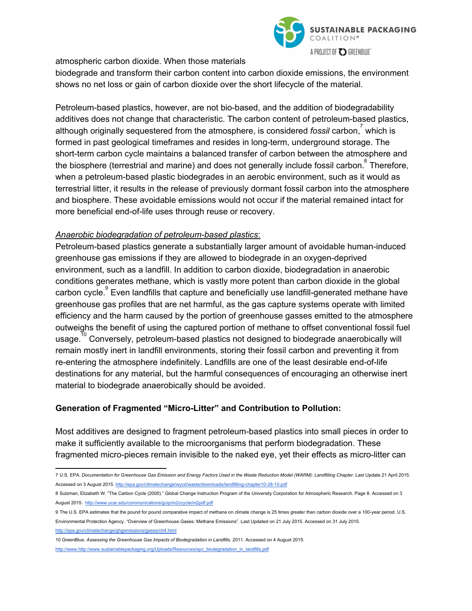

atmospheric carbon dioxide. When those materials

biodegrade and transform their carbon content into carbon dioxide emissions, the environment shows no net loss or gain of carbon dioxide over the short lifecycle of the material.

Petroleum-based plastics, however, are not bio-based, and the addition of biodegradability additives does not change that characteristic. The carbon content of petroleum-based plastics, although originally sequestered from the atmosphere, is considered *fossil* carbon,<sup>7</sup> which is formed in past geological timeframes and resides in long-term, underground storage. The short-term carbon cycle maintains a balanced transfer of carbon between the atmosphere and the biosphere (terrestrial and marine) and does not generally include fossil carbon.  $\degree$  Therefore, when a petroleum-based plastic biodegrades in an aerobic environment, such as it would as terrestrial litter, it results in the release of previously dormant fossil carbon into the atmosphere and biosphere. These avoidable emissions would not occur if the material remained intact for more beneficial end-of-life uses through reuse or recovery.

## *Anaerobic biodegradation of petroleumbased plastics*:

Petroleum-based plastics generate a substantially larger amount of avoidable human-induced greenhouse gas emissions if they are allowed to biodegrade in an oxygen-deprived environment, such as a landfill. In addition to carbon dioxide, biodegradation in anaerobic conditions generates methane, which is vastly more potent than carbon dioxide in the global carbon cycle.<sup>9</sup> Even landfills that capture and beneficially use landfill-generated methane have greenhouse gas profiles that are net harmful, as the gas capture systems operate with limited efficiency and the harm caused by the portion of greenhouse gasses emitted to the atmosphere outweighs the benefit of using the captured portion of methane to offset conventional fossil fuel usage.<sup>10</sup> Conversely, petroleum-based plastics not designed to biodegrade anaerobically will remain mostly inert in landfill environments, storing their fossil carbon and preventing it from re-entering the atmosphere indefinitely. Landfills are one of the least desirable end-of-life destinations for any material, but the harmful consequences of encouraging an otherwise inert material to biodegrade anaerobically should be avoided.

## **Generation of Fragmented "MicroLitter" and Contribution to Pollution:**

Most additives are designed to fragment petroleum-based plastics into small pieces in order to make it sufficiently available to the microorganisms that perform biodegradation. These fragmented micro-pieces remain invisible to the naked eye, yet their effects as micro-litter can

<http://epa.gov/climatechange/ghgemissions/gases/ch4.html>

10 GreenBlue. *Assessing the Greenhouse Gas Impacts of Biodegradation in Landfills*. 2011. Accessed on 4 August 2015.

[http://www.http://www.sustainablepackaging.org/Uploads/Resources/spc\\_biodegradation\\_in\\_landfills.pdf](http://www.http//www.sustainablepackaging.org/Uploads/Resources/spc_biodegradation_in_landfills.pdf)

<sup>7</sup> U.S. EPA. Documentation for Greenhouse Gas Emission and Energy Factors Used in the Waste Reduction Model (WARM): Landfilling Chapter. Last Update 21 April 2015. Accessed on 3 August 2015. http://epa.gov/climatechange/wycd/waste/downloads/landfilling-chapter10-28-10.pdf

<sup>8</sup> Sulzman, Elizabeth W. "The Carbon Cycle (2000)." Global Change Instruction Program of the University Corporation for Atmospheric Research. Page 8. Accessed on 3 August 2015. <http://www.ucar.edu/communications/gcip/m2ccycle/m2pdf.pdf>

<sup>9</sup> The U.S. EPA estimates that the pound for pound comparative impact of methane on climate change is 25 times greater than carbon dioxide over a 100year period. U.S. Environmental Protection Agency. "Overview of Greenhouse Gases: Methane Emissions". Last Updated on 21 July 2015. Accessed on 31 July 2015.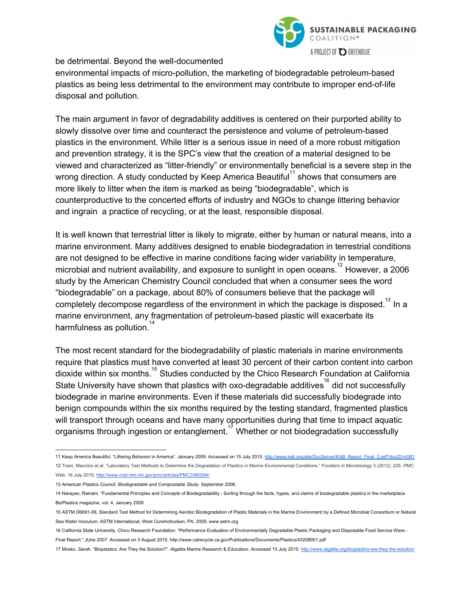

be detrimental. Beyond the well-documented

environmental impacts of micro-pollution, the marketing of biodegradable petroleum-based plastics as being less detrimental to the environment may contribute to improper end-of-life disposal and pollution.

The main argument in favor of degradability additives is centered on their purported ability to slowly dissolve over time and counteract the persistence and volume of petroleum-based plastics in the environment. While litter is a serious issue in need of a more robust mitigation and prevention strategy, it is the SPC's view that the creation of a material designed to be viewed and characterized as "litter-friendly" or environmentally beneficial is a severe step in the wrong direction. A study conducted by Keep America Beautiful<sup>11</sup> shows that consumers are more likely to litter when the item is marked as being "biodegradable", which is counterproductive to the concerted efforts of industry and NGOs to change littering behavior and ingrain a practice of recycling, or at the least, responsible disposal.

It is well known that terrestrial litter is likely to migrate, either by human or natural means, into a marine environment. Many additives designed to enable biodegradation in terrestrial conditions are not designed to be effective in marine conditions facing wider variability in temperature, microbial and nutrient availability, and exposure to sunlight in open oceans.<sup>12</sup> However, a 2006 study by the American Chemistry Council concluded that when a consumer sees the word "biodegradable" on a package, about 80% of consumers believe that the package will completely decompose regardless of the environment in which the package is disposed.<sup>13</sup> In a marine environment, any fragmentation of petroleum-based plastic will exacerbate its harmfulness as pollution.<sup>14</sup>

The most recent standard for the biodegradability of plastic materials in marine environments require that plastics must have converted at least 30 percent of their carbon content into carbon dioxide within six months.<sup>15</sup> Studies conducted by the Chico Research Foundation at California State University have shown that plastics with oxo-degradable additives<sup>16</sup> did not successfully biodegrade in marine environments. Even if these materials did successfully biodegrade into benign compounds within the six months required by the testing standard, fragmented plastics will transport through oceans and have many opportunities during that time to impact aquatic organisms through ingestion or entanglement.<sup>17</sup> Whether or not biodegradation successfully

<sup>11</sup> Keep America Beautiful. "Littering Behavior in America". January 2009. Accessed on 15 July 2015. [http://www.kab.org/site/DocServer/KAB\\_Report\\_Final\\_2.pdf?docID=4581](http://www.kab.org/site/DocServer/KAB_Report_Final_2.pdf?docID=4581) 12 Tosin, Maurizio et al. "Laboratory Test Methods to Determine the Degradation of Plastics in Marine Environmental Conditions." *Frontiers in Microbiology* 3 (2012): 225. *PMC*. Web. 16 July 2015. <http://www.ncbi.nlm.nih.gov/pmc/articles/PMC3380294/>

<sup>13</sup> American Plastics Council. *Biodegradable and Compostable Study*. September 2006.

<sup>14</sup> Narayan, Ramani. "Fundamental Principles and Concepts of Biodegradability Sorting through the facts, hypes, and claims of biodegradable plastics in the marketplace. BioPlastics magazine, vol. 4, January 2009

<sup>15</sup> ASTM D669109, Standard Test Method for Determining Aerobic Biodegradation of Plastic Materials in the Marine Environment by a Defined Microbial Consortium or Natural Sea Water Inoculum, ASTM International, West Conshohocken, PA, 2009, www.astm.org

<sup>16</sup> California State University, Chico Research Foundation. "Performance Evaluation of Environmentally Degradable Plastic Packaging and Disposable Food Service Ware Final Report." JUne 2007. Accessed on 3 August 2015. http://www.calrecycle.ca.gov/Publications/Documents/Plastics/43208001.pdf

<sup>17</sup> Mosko, Sarah. "Bioplastics: Are They the Solution?". Algalita Marine Research & Education. Accessed 15 July 2015. http://www.algalita.org/bioplastics-are-they-the-solution/